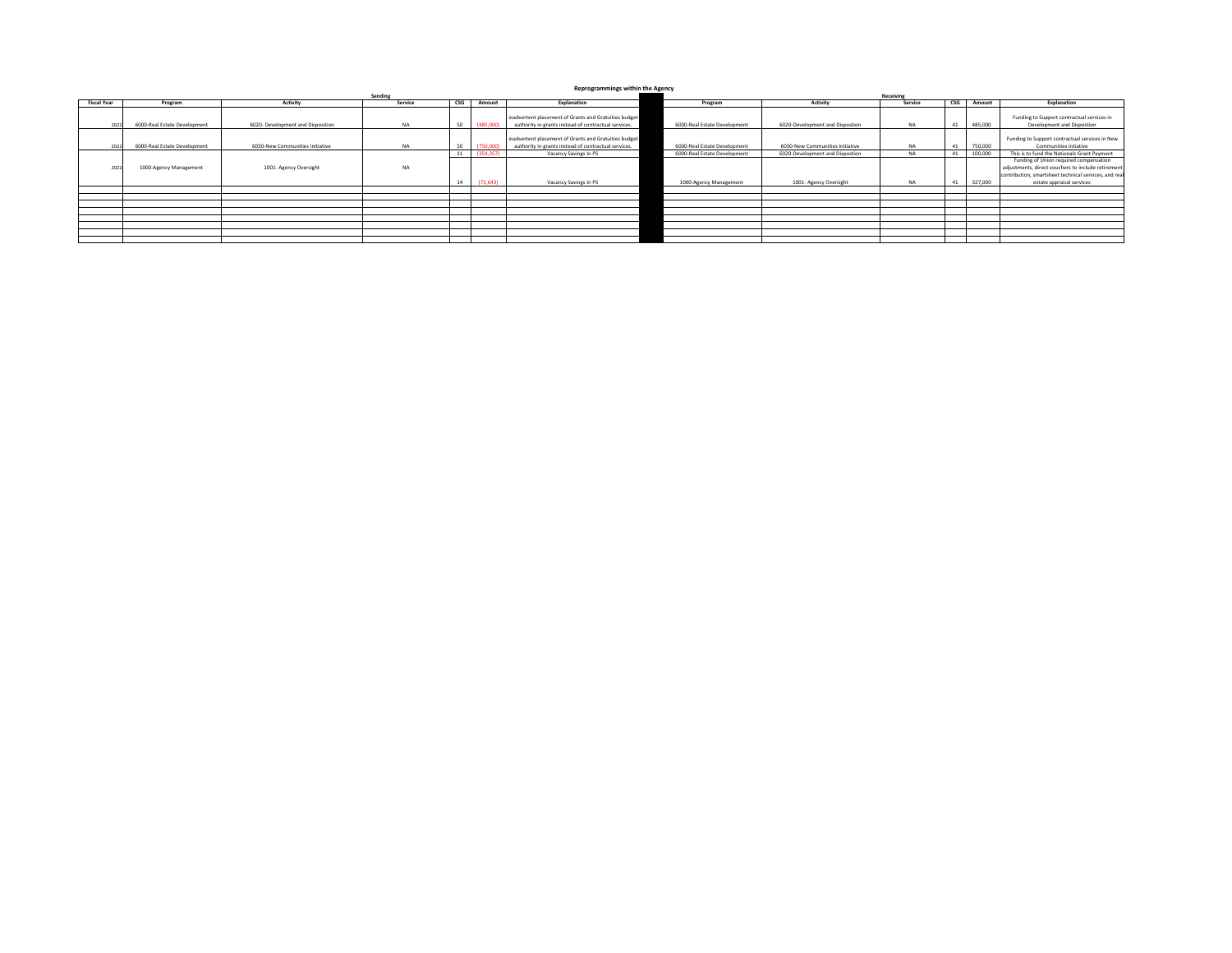**Reprogrammings within the Agency**

|                    |                              |                                   | Receiving |     |            |                                                       |  |                              |                                 |           |                           |         |                                                       |
|--------------------|------------------------------|-----------------------------------|-----------|-----|------------|-------------------------------------------------------|--|------------------------------|---------------------------------|-----------|---------------------------|---------|-------------------------------------------------------|
| <b>Fiscal Year</b> | Program                      | Activity                          | Service   | CSG | Amount     | Explanation                                           |  | Program                      | Activity                        | Service   | $\mathsf{CSG}\phantom{0}$ | Amount  | Explanation                                           |
|                    |                              |                                   |           |     |            |                                                       |  |                              |                                 |           |                           |         |                                                       |
|                    |                              |                                   |           |     |            | inadvertent placement of Grants and Gratuities budget |  |                              |                                 |           |                           |         | Funding to Support contractual services in            |
| 2022               | 6000-Real Estate Development | 6020- Development and Disposition | <b>NA</b> |     | (485,000   | authority in grants instead of contractual services.  |  | 6000-Real Estate Development | 6020-Development and Dispostion | NA        |                           | 485,000 | Development and Dispostion                            |
|                    |                              |                                   |           |     |            |                                                       |  |                              |                                 |           |                           |         |                                                       |
|                    |                              |                                   |           |     |            | inadvertent placement of Grants and Gratuities budget |  |                              |                                 |           |                           |         | Funding to Support contractual services in New        |
| 2022               | 6000-Real Estate Development | 6030-New Communities Initiative   | <b>NA</b> |     | (750,000   | authority in grants instead of contractual services.  |  | 6000-Real Estate Development | 6030-New Communities Initiative | <b>NA</b> |                           | 750,000 | Communities Intiative                                 |
|                    |                              |                                   |           |     | (354, 357) | Vacancy Savings In PS                                 |  | 6000-Real Estate Development | 6020-Development and Dispostion | NA        |                           | 100,000 | This is to fund the Nationals Grant Payment           |
|                    |                              |                                   |           |     |            |                                                       |  |                              |                                 |           |                           |         | Funding of Union required compensation                |
| 2022               | 1000-Agency Management       | 1001- Agency Oversight            | <b>NA</b> |     |            |                                                       |  |                              |                                 |           |                           |         | adjustments, direct vouchers to include retirement    |
|                    |                              |                                   |           |     |            |                                                       |  |                              |                                 |           |                           |         | contribution, smartsheet technical services, and real |
|                    |                              |                                   |           |     | (72.643)   | Vacancy Savings In PS                                 |  | 1000-Agency Management       | 1001- Agency Oversight          | <b>NA</b> |                           | 327,000 | estate appraisal services                             |
|                    |                              |                                   |           |     |            |                                                       |  |                              |                                 |           |                           |         |                                                       |
|                    |                              |                                   |           |     |            |                                                       |  |                              |                                 |           |                           |         |                                                       |
|                    |                              |                                   |           |     |            |                                                       |  |                              |                                 |           |                           |         |                                                       |
|                    |                              |                                   |           |     |            |                                                       |  |                              |                                 |           |                           |         |                                                       |
|                    |                              |                                   |           |     |            |                                                       |  |                              |                                 |           |                           |         |                                                       |
|                    |                              |                                   |           |     |            |                                                       |  |                              |                                 |           |                           |         |                                                       |
|                    |                              |                                   |           |     |            |                                                       |  |                              |                                 |           |                           |         |                                                       |
|                    |                              |                                   |           |     |            |                                                       |  |                              |                                 |           |                           |         |                                                       |
|                    |                              |                                   |           |     |            |                                                       |  |                              |                                 |           |                           |         |                                                       |